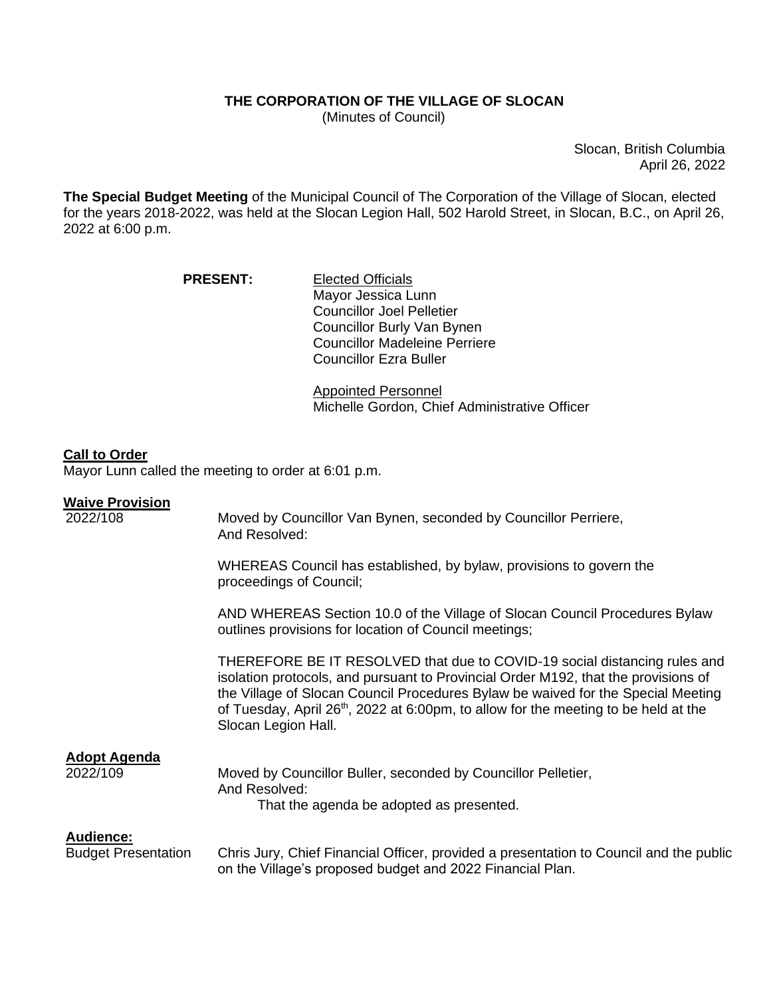## **THE CORPORATION OF THE VILLAGE OF SLOCAN**

(Minutes of Council)

Slocan, British Columbia April 26, 2022

**The Special Budget Meeting** of the Municipal Council of The Corporation of the Village of Slocan, elected for the years 2018-2022, was held at the Slocan Legion Hall, 502 Harold Street, in Slocan, B.C., on April 26, 2022 at 6:00 p.m.

> **PRESENT:** Elected Officials Mayor Jessica Lunn Councillor Joel Pelletier Councillor Burly Van Bynen Councillor Madeleine Perriere Councillor Ezra Buller

> > Appointed Personnel Michelle Gordon, Chief Administrative Officer

## **Call to Order**

Mayor Lunn called the meeting to order at 6:01 p.m.

## **Waive Provision**

| 2022/108                                | Moved by Councillor Van Bynen, seconded by Councillor Perriere,<br>And Resolved:                                                                                                                                                                                                                                                                                    |
|-----------------------------------------|---------------------------------------------------------------------------------------------------------------------------------------------------------------------------------------------------------------------------------------------------------------------------------------------------------------------------------------------------------------------|
|                                         | WHEREAS Council has established, by bylaw, provisions to govern the<br>proceedings of Council;                                                                                                                                                                                                                                                                      |
|                                         | AND WHEREAS Section 10.0 of the Village of Slocan Council Procedures Bylaw<br>outlines provisions for location of Council meetings;                                                                                                                                                                                                                                 |
|                                         | THEREFORE BE IT RESOLVED that due to COVID-19 social distancing rules and<br>isolation protocols, and pursuant to Provincial Order M192, that the provisions of<br>the Village of Slocan Council Procedures Bylaw be waived for the Special Meeting<br>of Tuesday, April $26th$ , 2022 at 6:00pm, to allow for the meeting to be held at the<br>Slocan Legion Hall. |
| <b>Adopt Agenda</b><br>2022/109         | Moved by Councillor Buller, seconded by Councillor Pelletier,<br>And Resolved:<br>That the agenda be adopted as presented.                                                                                                                                                                                                                                          |
| Audience:<br><b>Budget Presentation</b> | Chris Jury, Chief Financial Officer, provided a presentation to Council and the public<br>on the Village's proposed budget and 2022 Financial Plan.                                                                                                                                                                                                                 |